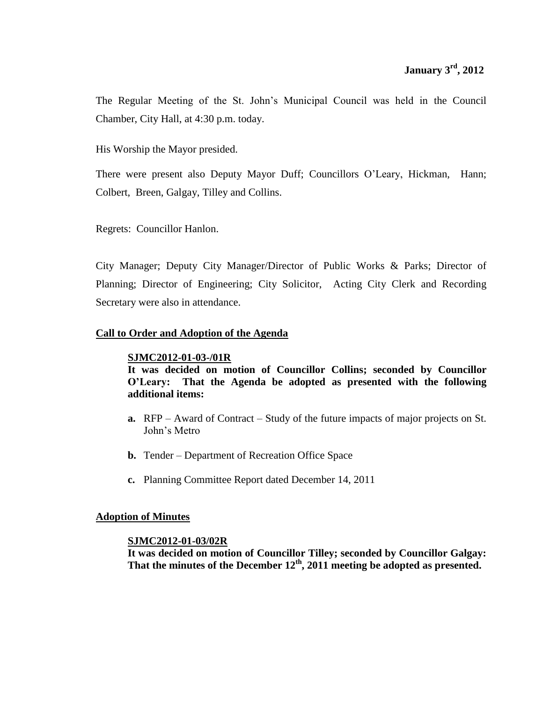The Regular Meeting of the St. John's Municipal Council was held in the Council Chamber, City Hall, at 4:30 p.m. today.

His Worship the Mayor presided.

There were present also Deputy Mayor Duff; Councillors O'Leary, Hickman, Hann; Colbert, Breen, Galgay, Tilley and Collins.

Regrets: Councillor Hanlon.

City Manager; Deputy City Manager/Director of Public Works & Parks; Director of Planning; Director of Engineering; City Solicitor, Acting City Clerk and Recording Secretary were also in attendance.

# **Call to Order and Adoption of the Agenda**

# **SJMC2012-01-03-/01R**

**It was decided on motion of Councillor Collins; seconded by Councillor O'Leary: That the Agenda be adopted as presented with the following additional items:**

- **a.** RFP Award of Contract Study of the future impacts of major projects on St. John's Metro
- **b.** Tender Department of Recreation Office Space
- **c.** Planning Committee Report dated December 14, 2011

# **Adoption of Minutes**

# **SJMC2012-01-03/02R**

**It was decided on motion of Councillor Tilley; seconded by Councillor Galgay: That the minutes of the December 12th , 2011 meeting be adopted as presented.**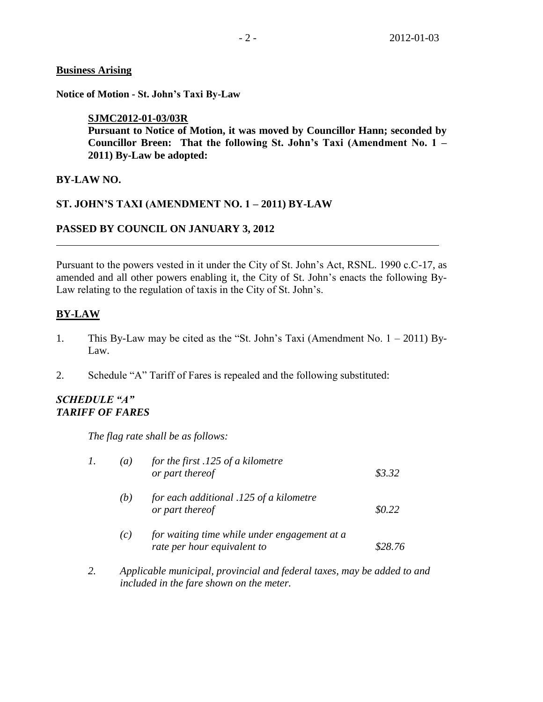## **Business Arising**

**Notice of Motion - St. John's Taxi By-Law**

## **SJMC2012-01-03/03R**

**Pursuant to Notice of Motion, it was moved by Councillor Hann; seconded by Councillor Breen: That the following St. John's Taxi (Amendment No. 1 – 2011) By-Law be adopted:**

# **BY-LAW NO.**

# **ST. JOHN'S TAXI (AMENDMENT NO. 1 – 2011) BY-LAW**

# **PASSED BY COUNCIL ON JANUARY 3, 2012**

Pursuant to the powers vested in it under the City of St. John's Act, RSNL. 1990 c.C-17, as amended and all other powers enabling it, the City of St. John's enacts the following By-Law relating to the regulation of taxis in the City of St. John's.

# **BY-LAW**

- 1. This By-Law may be cited as the "St. John's Taxi (Amendment No. 1 2011) By-Law.
- 2. Schedule "A" Tariff of Fares is repealed and the following substituted:

## *SCHEDULE "A" TARIFF OF FARES*

*The flag rate shall be as follows:*

| 1. | $\left(a\right)$  | for the first $.125$ of a kilometre<br>or part thereof                      | \$3.32  |
|----|-------------------|-----------------------------------------------------------------------------|---------|
|    | (b)               | for each additional .125 of a kilometre<br>or part thereof                  | \$0.22  |
|    | $\left( c\right)$ | for waiting time while under engagement at a<br>rate per hour equivalent to | \$28.76 |

*2. Applicable municipal, provincial and federal taxes, may be added to and included in the fare shown on the meter.*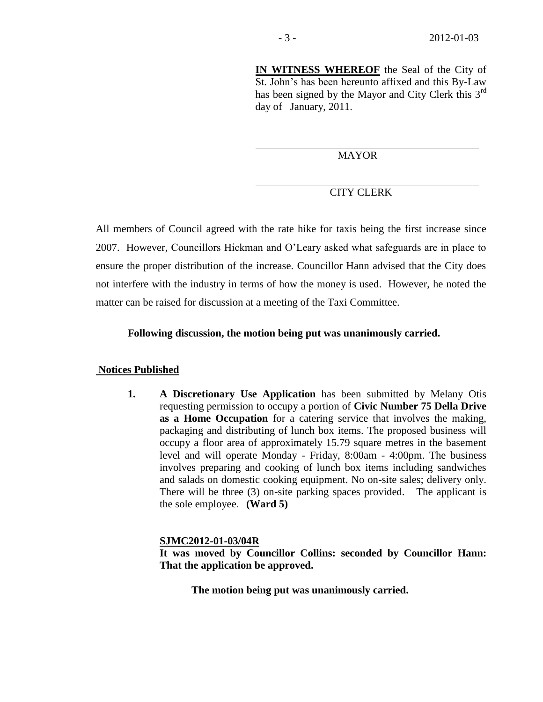**IN WITNESS WHEREOF** the Seal of the City of St. John's has been hereunto affixed and this By-Law has been signed by the Mayor and City Clerk this  $3<sup>rd</sup>$ day of January, 2011.

## **MAYOR**

# CITY CLERK

All members of Council agreed with the rate hike for taxis being the first increase since 2007. However, Councillors Hickman and O'Leary asked what safeguards are in place to ensure the proper distribution of the increase. Councillor Hann advised that the City does not interfere with the industry in terms of how the money is used. However, he noted the matter can be raised for discussion at a meeting of the Taxi Committee.

### **Following discussion, the motion being put was unanimously carried.**

### **Notices Published**

**1. A Discretionary Use Application** has been submitted by Melany Otis requesting permission to occupy a portion of **Civic Number 75 Della Drive as a Home Occupation** for a catering service that involves the making, packaging and distributing of lunch box items. The proposed business will occupy a floor area of approximately 15.79 square metres in the basement level and will operate Monday - Friday, 8:00am - 4:00pm. The business involves preparing and cooking of lunch box items including sandwiches and salads on domestic cooking equipment. No on-site sales; delivery only. There will be three (3) on-site parking spaces provided. The applicant is the sole employee. **(Ward 5)**

### **SJMC2012-01-03/04R**

**It was moved by Councillor Collins: seconded by Councillor Hann: That the application be approved.**

**The motion being put was unanimously carried.**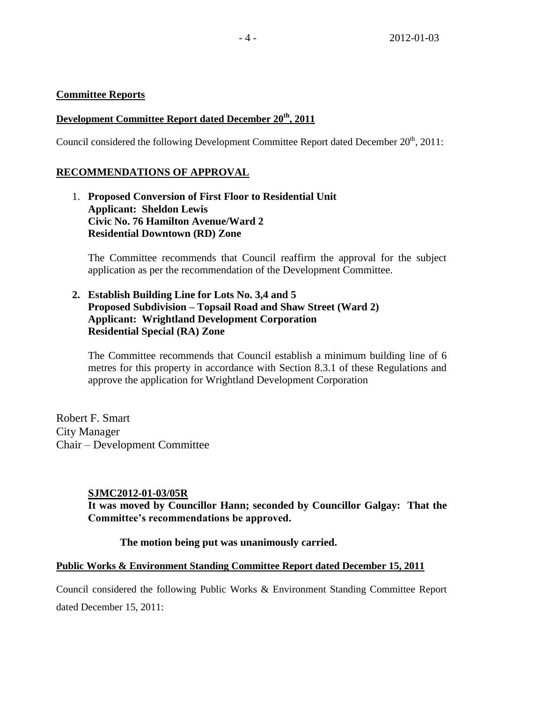# **Committee Reports**

# **Development Committee Report dated December 20th , 2011**

Council considered the following Development Committee Report dated December 20<sup>th</sup>, 2011:

# **RECOMMENDATIONS OF APPROVAL**

1. **Proposed Conversion of First Floor to Residential Unit Applicant: Sheldon Lewis Civic No. 76 Hamilton Avenue/Ward 2 Residential Downtown (RD) Zone**

The Committee recommends that Council reaffirm the approval for the subject application as per the recommendation of the Development Committee.

**2. Establish Building Line for Lots No. 3,4 and 5 Proposed Subdivision – Topsail Road and Shaw Street (Ward 2) Applicant: Wrightland Development Corporation Residential Special (RA) Zone**

The Committee recommends that Council establish a minimum building line of 6 metres for this property in accordance with Section 8.3.1 of these Regulations and approve the application for Wrightland Development Corporation

Robert F. Smart City Manager Chair – Development Committee

# **SJMC2012-01-03/05R**

**It was moved by Councillor Hann; seconded by Councillor Galgay: That the Committee's recommendations be approved.**

**The motion being put was unanimously carried.**

# **Public Works & Environment Standing Committee Report dated December 15, 2011**

Council considered the following Public Works & Environment Standing Committee Report dated December 15, 2011: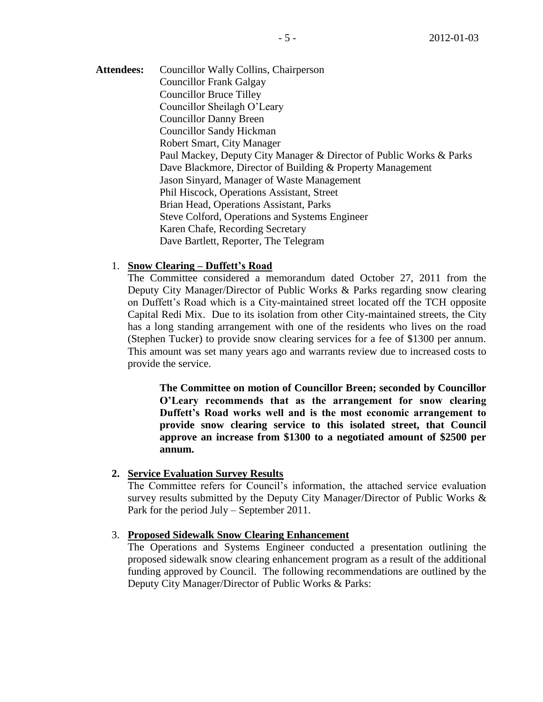Attendees: Councillor Wally Collins, Chairperson Councillor Frank Galgay Councillor Bruce Tilley Councillor Sheilagh O'Leary Councillor Danny Breen Councillor Sandy Hickman Robert Smart, City Manager Paul Mackey, Deputy City Manager & Director of Public Works & Parks Dave Blackmore, Director of Building & Property Management Jason Sinyard, Manager of Waste Management Phil Hiscock, Operations Assistant, Street Brian Head, Operations Assistant, Parks Steve Colford, Operations and Systems Engineer Karen Chafe, Recording Secretary Dave Bartlett, Reporter, The Telegram

# 1. **Snow Clearing – Duffett's Road**

The Committee considered a memorandum dated October 27, 2011 from the Deputy City Manager/Director of Public Works & Parks regarding snow clearing on Duffett's Road which is a City-maintained street located off the TCH opposite Capital Redi Mix. Due to its isolation from other City-maintained streets, the City has a long standing arrangement with one of the residents who lives on the road (Stephen Tucker) to provide snow clearing services for a fee of \$1300 per annum. This amount was set many years ago and warrants review due to increased costs to provide the service.

**The Committee on motion of Councillor Breen; seconded by Councillor O'Leary recommends that as the arrangement for snow clearing Duffett's Road works well and is the most economic arrangement to provide snow clearing service to this isolated street, that Council approve an increase from \$1300 to a negotiated amount of \$2500 per annum.**

# **2. Service Evaluation Survey Results**

The Committee refers for Council's information, the attached service evaluation survey results submitted by the Deputy City Manager/Director of Public Works & Park for the period July – September 2011.

# 3. **Proposed Sidewalk Snow Clearing Enhancement**

The Operations and Systems Engineer conducted a presentation outlining the proposed sidewalk snow clearing enhancement program as a result of the additional funding approved by Council. The following recommendations are outlined by the Deputy City Manager/Director of Public Works & Parks: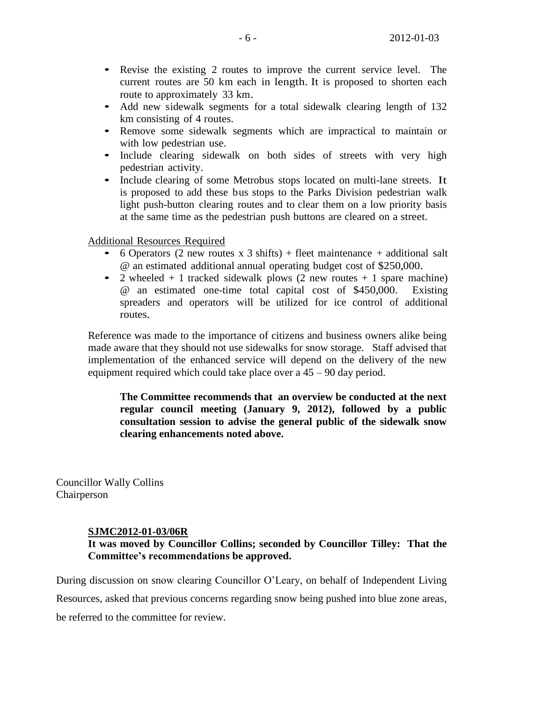- Revise the existing <sup>2</sup> routes to improve the current service level. The current routes are 50 km each in length. It is proposed to shorten each route to approximately 33 km.
- Add new sidewalk segments for a total sidewalk clearing length of 132 km consisting of 4 routes.
- Remove some sidewalk segments which are impractical to maintain or with low pedestrian use.
- Include clearing sidewalk on both sides of streets with very high pedestrian activity.
- Include clearing of some Metrobus stops located on multi-lane streets. It is proposed to add these bus stops to the Parks Division pedestrian walk light push-button clearing routes and to clear them on a low priority basis at the same time as the pedestrian push buttons are cleared on a street.

Additional Resources Required

- <sup>6</sup> Operators (2 new routes <sup>x</sup> <sup>3</sup> shifts) <sup>+</sup> fleet maintenance <sup>+</sup> additional salt @ an estimated additional annual operating budget cost of \$250,000.
- 2 wheeled  $+ 1$  tracked sidewalk plows (2 new routes  $+ 1$  spare machine) @ an estimated one-time total capital cost of \$450,000. Existing spreaders and operators will be utilized for ice control of additional routes.

Reference was made to the importance of citizens and business owners alike being made aware that they should not use sidewalks for snow storage. Staff advised that implementation of the enhanced service will depend on the delivery of the new equipment required which could take place over a 45 – 90 day period.

**The Committee recommends that an overview be conducted at the next regular council meeting (January 9, 2012), followed by a public consultation session to advise the general public of the sidewalk snow clearing enhancements noted above.** 

Councillor Wally Collins Chairperson

### **SJMC2012-01-03/06R**

# **It was moved by Councillor Collins; seconded by Councillor Tilley: That the Committee's recommendations be approved.**

During discussion on snow clearing Councillor O'Leary, on behalf of Independent Living

Resources, asked that previous concerns regarding snow being pushed into blue zone areas,

be referred to the committee for review.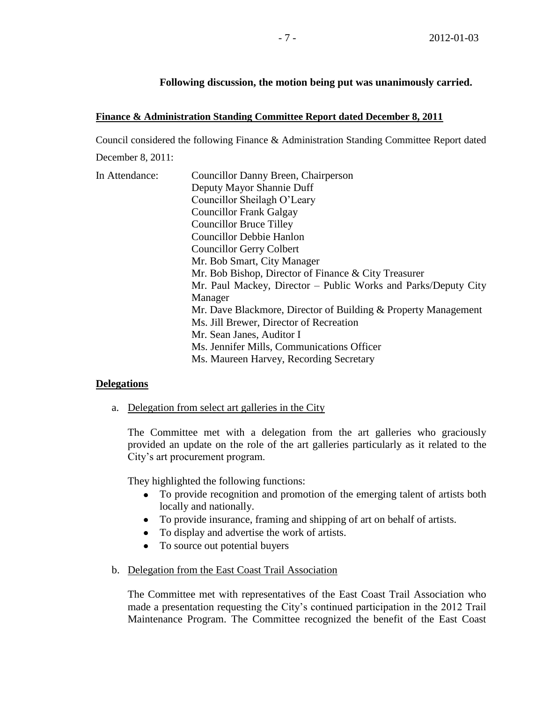## **Following discussion, the motion being put was unanimously carried.**

### **Finance & Administration Standing Committee Report dated December 8, 2011**

Council considered the following Finance & Administration Standing Committee Report dated December 8, 2011:

| In Attendance: | Councillor Danny Breen, Chairperson                            |
|----------------|----------------------------------------------------------------|
|                | Deputy Mayor Shannie Duff                                      |
|                | Councillor Sheilagh O'Leary                                    |
|                | <b>Councillor Frank Galgay</b>                                 |
|                | <b>Councillor Bruce Tilley</b>                                 |
|                | <b>Councillor Debbie Hanlon</b>                                |
|                | <b>Councillor Gerry Colbert</b>                                |
|                | Mr. Bob Smart, City Manager                                    |
|                | Mr. Bob Bishop, Director of Finance & City Treasurer           |
|                | Mr. Paul Mackey, Director – Public Works and Parks/Deputy City |
|                | Manager                                                        |
|                | Mr. Dave Blackmore, Director of Building & Property Management |
|                | Ms. Jill Brewer, Director of Recreation                        |
|                | Mr. Sean Janes, Auditor I                                      |
|                | Ms. Jennifer Mills, Communications Officer                     |
|                | Ms. Maureen Harvey, Recording Secretary                        |
|                |                                                                |

### **Delegations**

a. Delegation from select art galleries in the City

The Committee met with a delegation from the art galleries who graciously provided an update on the role of the art galleries particularly as it related to the City's art procurement program.

They highlighted the following functions:

- To provide recognition and promotion of the emerging talent of artists both locally and nationally.
- To provide insurance, framing and shipping of art on behalf of artists.
- To display and advertise the work of artists.
- $\bullet$ To source out potential buyers
- b. Delegation from the East Coast Trail Association

The Committee met with representatives of the East Coast Trail Association who made a presentation requesting the City's continued participation in the 2012 Trail Maintenance Program. The Committee recognized the benefit of the East Coast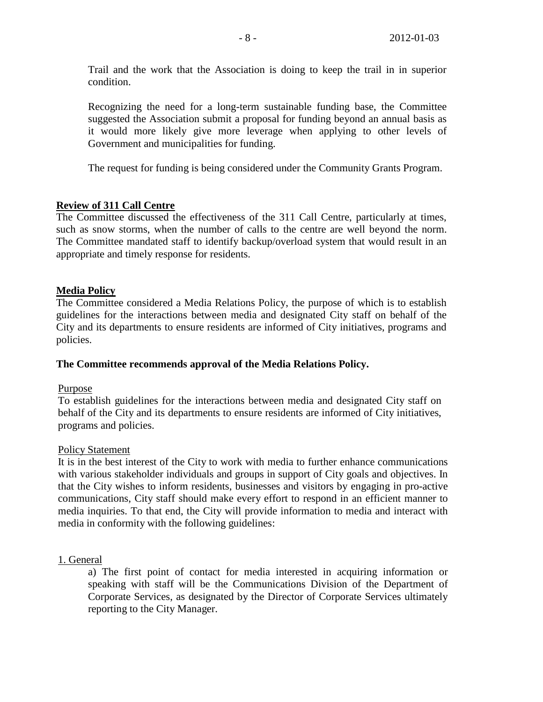Trail and the work that the Association is doing to keep the trail in in superior condition.

Recognizing the need for a long-term sustainable funding base, the Committee suggested the Association submit a proposal for funding beyond an annual basis as it would more likely give more leverage when applying to other levels of Government and municipalities for funding.

The request for funding is being considered under the Community Grants Program.

# **Review of 311 Call Centre**

The Committee discussed the effectiveness of the 311 Call Centre, particularly at times, such as snow storms, when the number of calls to the centre are well beyond the norm. The Committee mandated staff to identify backup/overload system that would result in an appropriate and timely response for residents.

# **Media Policy**

The Committee considered a Media Relations Policy, the purpose of which is to establish guidelines for the interactions between media and designated City staff on behalf of the City and its departments to ensure residents are informed of City initiatives, programs and policies.

# **The Committee recommends approval of the Media Relations Policy.**

# Purpose

To establish guidelines for the interactions between media and designated City staff on behalf of the City and its departments to ensure residents are informed of City initiatives, programs and policies.

### Policy Statement

It is in the best interest of the City to work with media to further enhance communications with various stakeholder individuals and groups in support of City goals and objectives. In that the City wishes to inform residents, businesses and visitors by engaging in pro-active communications, City staff should make every effort to respond in an efficient manner to media inquiries. To that end, the City will provide information to media and interact with media in conformity with the following guidelines:

# 1. General

a) The first point of contact for media interested in acquiring information or speaking with staff will be the Communications Division of the Department of Corporate Services, as designated by the Director of Corporate Services ultimately reporting to the City Manager.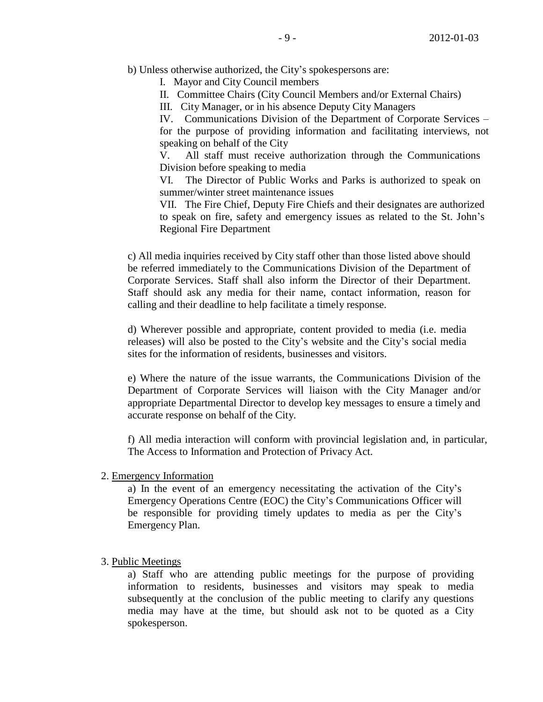b) Unless otherwise authorized, the City's spokespersons are:

I. Mayor and City Council members

II. Committee Chairs (City Council Members and/or External Chairs)

III. City Manager, or in his absence Deputy City Managers

IV. Communications Division of the Department of Corporate Services – for the purpose of providing information and facilitating interviews, not speaking on behalf of the City

V. All staff must receive authorization through the Communications Division before speaking to media

VI. The Director of Public Works and Parks is authorized to speak on summer/winter street maintenance issues

VII. The Fire Chief, Deputy Fire Chiefs and their designates are authorized to speak on fire, safety and emergency issues as related to the St. John's Regional Fire Department

c) All media inquiries received by City staff other than those listed above should be referred immediately to the Communications Division of the Department of Corporate Services. Staff shall also inform the Director of their Department. Staff should ask any media for their name, contact information, reason for calling and their deadline to help facilitate a timely response.

d) Wherever possible and appropriate, content provided to media (i.e. media releases) will also be posted to the City's website and the City's social media sites for the information of residents, businesses and visitors.

e) Where the nature of the issue warrants, the Communications Division of the Department of Corporate Services will liaison with the City Manager and/or appropriate Departmental Director to develop key messages to ensure a timely and accurate response on behalf of the City.

f) All media interaction will conform with provincial legislation and, in particular, The Access to Information and Protection of Privacy Act.

2. Emergency Information

a) In the event of an emergency necessitating the activation of the City's Emergency Operations Centre (EOC) the City's Communications Officer will be responsible for providing timely updates to media as per the City's Emergency Plan.

### 3. Public Meetings

a) Staff who are attending public meetings for the purpose of providing information to residents, businesses and visitors may speak to media subsequently at the conclusion of the public meeting to clarify any questions media may have at the time, but should ask not to be quoted as a City spokesperson.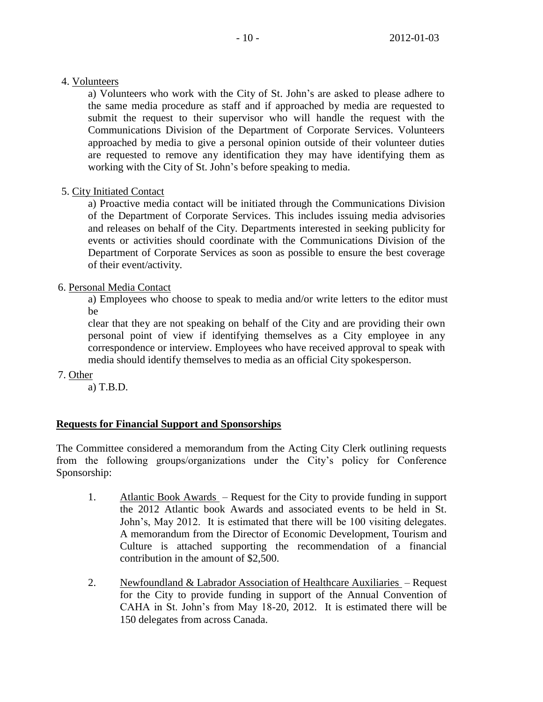# 4. Volunteers

a) Volunteers who work with the City of St. John's are asked to please adhere to the same media procedure as staff and if approached by media are requested to submit the request to their supervisor who will handle the request with the Communications Division of the Department of Corporate Services. Volunteers approached by media to give a personal opinion outside of their volunteer duties are requested to remove any identification they may have identifying them as working with the City of St. John's before speaking to media.

# 5. City Initiated Contact

a) Proactive media contact will be initiated through the Communications Division of the Department of Corporate Services. This includes issuing media advisories and releases on behalf of the City. Departments interested in seeking publicity for events or activities should coordinate with the Communications Division of the Department of Corporate Services as soon as possible to ensure the best coverage of their event/activity.

# 6. Personal Media Contact

a) Employees who choose to speak to media and/or write letters to the editor must be

clear that they are not speaking on behalf of the City and are providing their own personal point of view if identifying themselves as a City employee in any correspondence or interview. Employees who have received approval to speak with media should identify themselves to media as an official City spokesperson.

7. Other

a) T.B.D.

# **Requests for Financial Support and Sponsorships**

The Committee considered a memorandum from the Acting City Clerk outlining requests from the following groups/organizations under the City's policy for Conference Sponsorship:

- 1. Atlantic Book Awards Request for the City to provide funding in support the 2012 Atlantic book Awards and associated events to be held in St. John's, May 2012. It is estimated that there will be 100 visiting delegates. A memorandum from the Director of Economic Development, Tourism and Culture is attached supporting the recommendation of a financial contribution in the amount of \$2,500.
- 2. Newfoundland & Labrador Association of Healthcare Auxiliaries Request for the City to provide funding in support of the Annual Convention of CAHA in St. John's from May 18-20, 2012. It is estimated there will be 150 delegates from across Canada.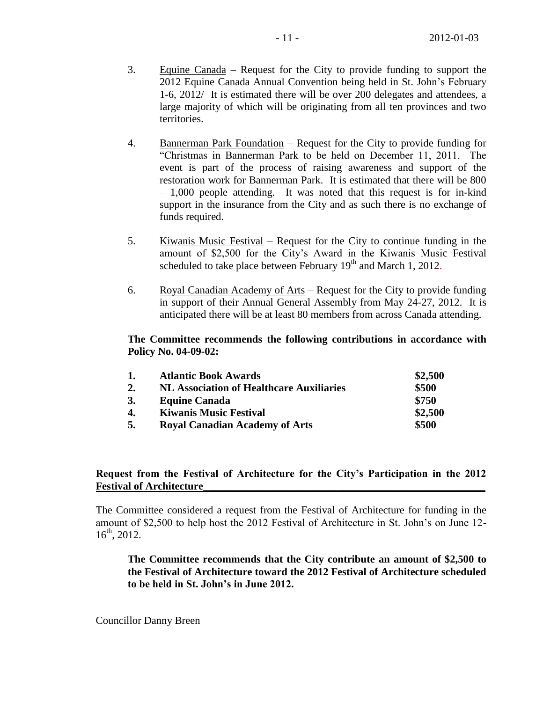- 3. Equine Canada Request for the City to provide funding to support the 2012 Equine Canada Annual Convention being held in St. John's February 1-6, 2012/ It is estimated there will be over 200 delegates and attendees, a large majority of which will be originating from all ten provinces and two territories.
- 4. Bannerman Park Foundation Request for the City to provide funding for "Christmas in Bannerman Park to be held on December 11, 2011. The event is part of the process of raising awareness and support of the restoration work for Bannerman Park. It is estimated that there will be 800 – 1,000 people attending. It was noted that this request is for in-kind support in the insurance from the City and as such there is no exchange of funds required.
- 5. Kiwanis Music Festival Request for the City to continue funding in the amount of \$2,500 for the City's Award in the Kiwanis Music Festival scheduled to take place between February  $19<sup>th</sup>$  and March 1, 2012.
- 6. Royal Canadian Academy of Arts Request for the City to provide funding in support of their Annual General Assembly from May 24-27, 2012. It is anticipated there will be at least 80 members from across Canada attending.

### **The Committee recommends the following contributions in accordance with Policy No. 04-09-02:**

| 1. | <b>Atlantic Book Awards</b>                     | \$2,500 |
|----|-------------------------------------------------|---------|
| 2. | <b>NL Association of Healthcare Auxiliaries</b> | \$500   |
| 3. | <b>Equine Canada</b>                            | \$750   |
| 4. | <b>Kiwanis Music Festival</b>                   | \$2,500 |
| 5. | <b>Royal Canadian Academy of Arts</b>           | \$500   |

# **Request from the Festival of Architecture for the City's Participation in the 2012 Festival of Architecture\_\_\_\_\_\_\_\_\_\_\_\_\_\_\_\_\_\_\_\_\_\_\_\_\_\_\_\_\_\_\_\_\_\_\_\_\_\_\_\_\_\_\_\_\_\_\_\_\_\_\_\_\_**

The Committee considered a request from the Festival of Architecture for funding in the amount of \$2,500 to help host the 2012 Festival of Architecture in St. John's on June 12- 16th, 2012.

**The Committee recommends that the City contribute an amount of \$2,500 to the Festival of Architecture toward the 2012 Festival of Architecture scheduled to be held in St. John's in June 2012.**

Councillor Danny Breen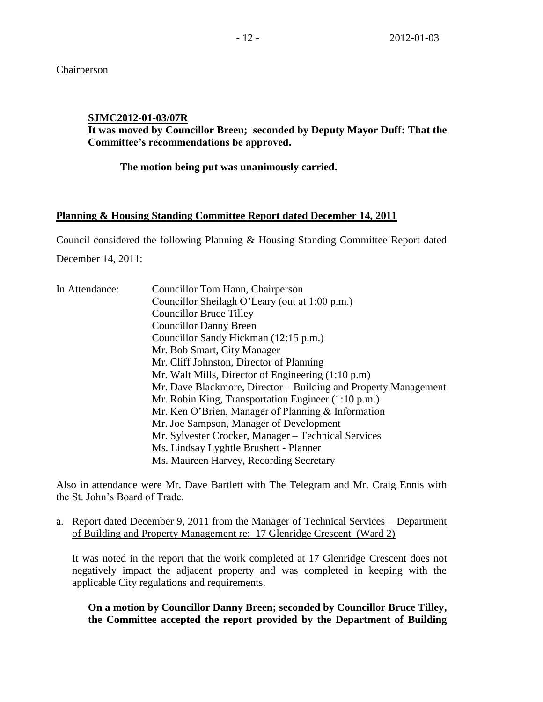Chairperson

**SJMC2012-01-03/07R**

**It was moved by Councillor Breen; seconded by Deputy Mayor Duff: That the Committee's recommendations be approved.**

**The motion being put was unanimously carried.**

# **Planning & Housing Standing Committee Report dated December 14, 2011**

Council considered the following Planning & Housing Standing Committee Report dated December 14, 2011:

| In Attendance: | Councillor Tom Hann, Chairperson                                |
|----------------|-----------------------------------------------------------------|
|                | Councillor Sheilagh O'Leary (out at 1:00 p.m.)                  |
|                | <b>Councillor Bruce Tilley</b>                                  |
|                | <b>Councillor Danny Breen</b>                                   |
|                | Councillor Sandy Hickman (12:15 p.m.)                           |
|                | Mr. Bob Smart, City Manager                                     |
|                | Mr. Cliff Johnston, Director of Planning                        |
|                | Mr. Walt Mills, Director of Engineering $(1:10 \text{ p.m})$    |
|                | Mr. Dave Blackmore, Director – Building and Property Management |
|                | Mr. Robin King, Transportation Engineer (1:10 p.m.)             |
|                | Mr. Ken O'Brien, Manager of Planning & Information              |
|                | Mr. Joe Sampson, Manager of Development                         |
|                | Mr. Sylvester Crocker, Manager – Technical Services             |
|                | Ms. Lindsay Lyghtle Brushett - Planner                          |
|                | Ms. Maureen Harvey, Recording Secretary                         |

Also in attendance were Mr. Dave Bartlett with The Telegram and Mr. Craig Ennis with the St. John's Board of Trade.

a. Report dated December 9, 2011 from the Manager of Technical Services – Department of Building and Property Management re: 17 Glenridge Crescent (Ward 2)

It was noted in the report that the work completed at 17 Glenridge Crescent does not negatively impact the adjacent property and was completed in keeping with the applicable City regulations and requirements.

**On a motion by Councillor Danny Breen; seconded by Councillor Bruce Tilley, the Committee accepted the report provided by the Department of Building**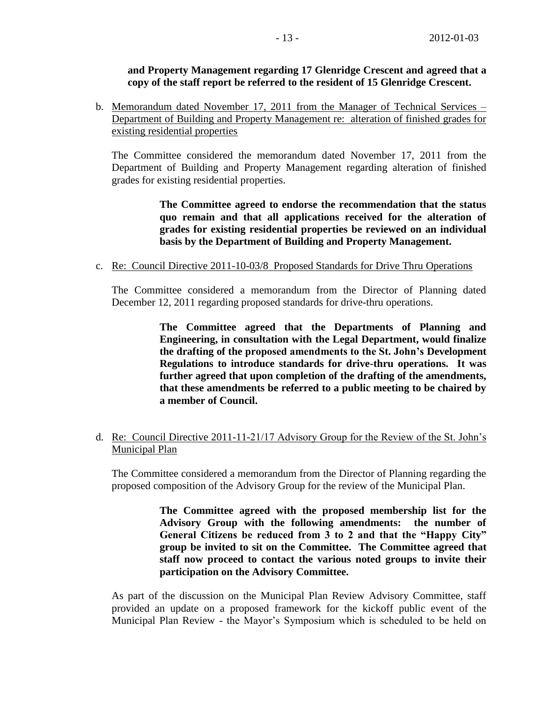# **and Property Management regarding 17 Glenridge Crescent and agreed that a copy of the staff report be referred to the resident of 15 Glenridge Crescent.**

b. Memorandum dated November 17, 2011 from the Manager of Technical Services – Department of Building and Property Management re: alteration of finished grades for existing residential properties

The Committee considered the memorandum dated November 17, 2011 from the Department of Building and Property Management regarding alteration of finished grades for existing residential properties.

> **The Committee agreed to endorse the recommendation that the status quo remain and that all applications received for the alteration of grades for existing residential properties be reviewed on an individual basis by the Department of Building and Property Management.**

c. Re: Council Directive 2011-10-03/8 Proposed Standards for Drive Thru Operations

The Committee considered a memorandum from the Director of Planning dated December 12, 2011 regarding proposed standards for drive-thru operations.

> **The Committee agreed that the Departments of Planning and Engineering, in consultation with the Legal Department, would finalize the drafting of the proposed amendments to the St. John's Development Regulations to introduce standards for drive-thru operations. It was further agreed that upon completion of the drafting of the amendments, that these amendments be referred to a public meeting to be chaired by a member of Council.**

# d. Re: Council Directive 2011-11-21/17 Advisory Group for the Review of the St. John's Municipal Plan

The Committee considered a memorandum from the Director of Planning regarding the proposed composition of the Advisory Group for the review of the Municipal Plan.

> **The Committee agreed with the proposed membership list for the Advisory Group with the following amendments: the number of General Citizens be reduced from 3 to 2 and that the "Happy City" group be invited to sit on the Committee. The Committee agreed that staff now proceed to contact the various noted groups to invite their participation on the Advisory Committee.**

As part of the discussion on the Municipal Plan Review Advisory Committee, staff provided an update on a proposed framework for the kickoff public event of the Municipal Plan Review - the Mayor's Symposium which is scheduled to be held on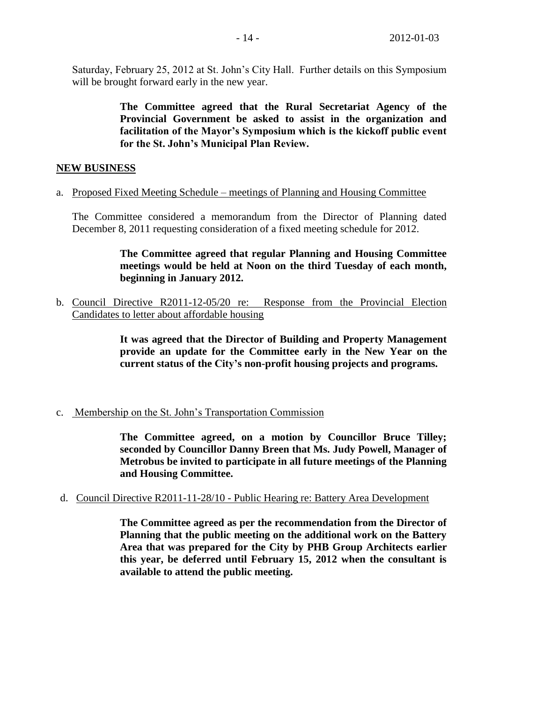Saturday, February 25, 2012 at St. John's City Hall. Further details on this Symposium will be brought forward early in the new year.

> **The Committee agreed that the Rural Secretariat Agency of the Provincial Government be asked to assist in the organization and facilitation of the Mayor's Symposium which is the kickoff public event for the St. John's Municipal Plan Review.**

## **NEW BUSINESS**

a. Proposed Fixed Meeting Schedule – meetings of Planning and Housing Committee

The Committee considered a memorandum from the Director of Planning dated December 8, 2011 requesting consideration of a fixed meeting schedule for 2012.

> **The Committee agreed that regular Planning and Housing Committee meetings would be held at Noon on the third Tuesday of each month, beginning in January 2012.**

b. Council Directive R2011-12-05/20 re: Response from the Provincial Election Candidates to letter about affordable housing

> **It was agreed that the Director of Building and Property Management provide an update for the Committee early in the New Year on the current status of the City's non-profit housing projects and programs.**

c. Membership on the St. John's Transportation Commission

**The Committee agreed, on a motion by Councillor Bruce Tilley; seconded by Councillor Danny Breen that Ms. Judy Powell, Manager of Metrobus be invited to participate in all future meetings of the Planning and Housing Committee.** 

d. Council Directive R2011-11-28/10 - Public Hearing re: Battery Area Development

**The Committee agreed as per the recommendation from the Director of Planning that the public meeting on the additional work on the Battery Area that was prepared for the City by PHB Group Architects earlier this year, be deferred until February 15, 2012 when the consultant is available to attend the public meeting.**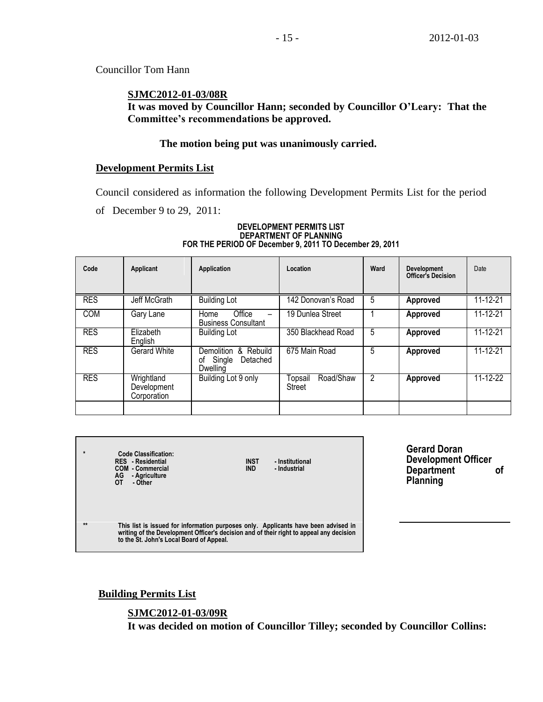Councillor Tom Hann

# **SJMC2012-01-03/08R**

**It was moved by Councillor Hann; seconded by Councillor O'Leary: That the Committee's recommendations be approved.**

# **The motion being put was unanimously carried.**

## **Development Permits List**

Council considered as information the following Development Permits List for the period

of December 9 to 29, 2011:

### **DEVELOPMENT PERMITS LIST DEPARTMENT OF PLANNING FOR THE PERIOD OF December 9, 2011 TO December 29, 2011**

| Code       | Applicant                                | Application                                                  | Location                              | Ward | <b>Development</b><br>Officer's Decision | Date     |
|------------|------------------------------------------|--------------------------------------------------------------|---------------------------------------|------|------------------------------------------|----------|
| <b>RES</b> | Jeff McGrath                             | <b>Building Lot</b>                                          | 142 Donovan's Road                    | 5    | Approved                                 | 11-12-21 |
| <b>COM</b> | Gary Lane                                | Office<br>Home<br><b>Business Consultant</b>                 | 19 Dunlea Street                      |      | Approved                                 | 11-12-21 |
| <b>RES</b> | Elizabeth<br>English                     | <b>Building Lot</b>                                          | 350 Blackhead Road                    | 5    | Approved                                 | 11-12-21 |
| <b>RES</b> | <b>Gerard White</b>                      | Demolition & Rebuild<br>Single<br>Detached<br>οf<br>Dwelling | 675 Main Road                         | 5    | Approved                                 | 11-12-21 |
| <b>RES</b> | Wrightland<br>Development<br>Corporation | Building Lot 9 only                                          | Road/Shaw<br>Topsail<br><b>Street</b> | 2    | Approved                                 | 11-12-22 |
|            |                                          |                                                              |                                       |      |                                          |          |

| $\star$      | Code Classification:<br><b>RES</b> - Residential<br><b>COM - Commercial</b><br>AG<br>- Agriculture<br>OТ<br>- Other                                                                                                       | <b>INST</b><br><b>IND</b> | - Institutional<br>- Industrial |
|--------------|---------------------------------------------------------------------------------------------------------------------------------------------------------------------------------------------------------------------------|---------------------------|---------------------------------|
| $\star\star$ | This list is issued for information purposes only. Applicants have been advised in<br>writing of the Development Officer's decision and of their right to appeal any decision<br>to the St. John's Local Board of Appeal. |                           |                                 |

**Gerard Doran Development Officer Department of Planning**

**Building Permits List**

# **SJMC2012-01-03/09R**

**It was decided on motion of Councillor Tilley; seconded by Councillor Collins:**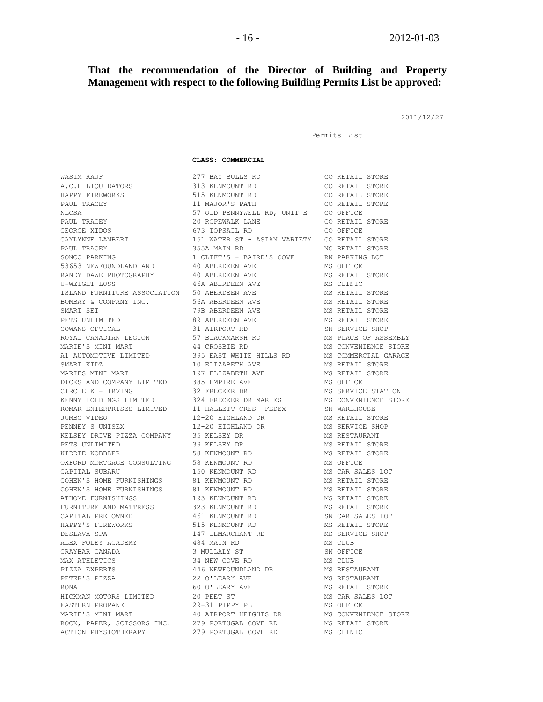### **That the recommendation of the Director of Building and Property Management with respect to the following Building Permits List be approved:**

2011/12/27

```
Permits List
```
#### **CLASS: COMMERCIAL**

WASIM RAUF **277 BAY BULLS RD** CO RETAIL STORE A.C.E LIQUIDATORS 313 KENMOUNT RD CO RETAIL STORE HAPPY FIREWORKS 515 KENMOUNT RD CO RETAIL STORE PAUL TRACEY 11 MAJOR'S PATH CO RETAIL STORE NLCSA 57 OLD PENNYWELL RD, UNIT E CO OFFICE PAUL TRACEY 20 ROPEWALK LANE CO RETAIL STORE GEORGE XIDOS 673 TOPSAIL RD CO OFFICE GAYLYNNE LAMBERT 151 WATER ST - ASIAN VARIETY CO RETAIL STORE PAUL TRACEY **120 CONTROLLER SEE ASSESSED AT A SET ALL STORE AND RETAIL STORE** SONCO PARKING  $1$  CLIFT'S - BAIRD'S COVE RN PARKING LOT 53653 NEWFOUNDLAND AND 40 ABERDEEN AVE MS OFFICE RANDY DAWE PHOTOGRAPHY 40 ABERDEEN AVE MS RETAIL STORE U-WEIGHT LOSS 6 16A ABERDEEN AVE MS CLINIC ISLAND FURNITURE ASSOCIATION 50 ABERDEEN AVE MS RETAIL STORE BOMBAY & COMPANY INC. 56A ABERDEEN AVE MS RETAIL STORE SMART SET 79B ABERDEEN AVE MS RETAIL STORE PETS UNLIMITED **89 ABERDEEN AVE MS RETAIL STORE** COWANS OPTICAL **31 AIRPORT RD** SN SERVICE SHOP ROYAL CANADIAN LEGION 57 BLACKMARSH RD MS PLACE OF ASSEMBLY MARIE'S MINI MART 44 CROSBIE RD MS CONVENIENCE STORE A1 AUTOMOTIVE LIMITED 395 EAST WHITE HILLS RD MS COMMERCIAL GARAGE SMART KIDZ 10 ELIZABETH AVE MS RETAIL STORE MARIES MINI MART 197 ELIZABETH AVE MS RETAIL STORE DICKS AND COMPANY LIMITED 385 EMPIRE AVE MS OFFICE CIRCLE K - IRVING 32 FRECKER DR MS SERVICE STATION KENNY HOLDINGS LIMITED 324 FRECKER DR MARIES MS CONVENIENCE STORE ROMAR ENTERPRISES LIMITED 11 HALLETT CRES FEDEX SN WAREHOUSE JUMBO VIDEO 12-20 HIGHLAND DR MS RETAIL STORE PENNEY'S UNISEX 12-20 HIGHLAND DR MS SERVICE SHOP KELSEY DRIVE PIZZA COMPANY 35 KELSEY DR MS RESTAURANT PETS UNLIMITED **39 KELSEY DR** MS RETAIL STORE KIDDIE KOBBLER 1999 SOMET SOMET SOMET HET STORE HET STORE STORE STORE STORE STORE STORE STORE STORE STORE STORE OXFORD MORTGAGE CONSULTING 58 KENMOUNT RD 60 MS OFFICE CAPITAL SUBARU 150 KENMOUNT RD MS CAR SALES LOT COHEN'S HOME FURNISHINGS 81 KENMOUNT RD 68 MS RETAIL STORE COHEN'S HOME FURNISHINGS 81 KENMOUNT RD 68 MS RETAIL STORE ATHOME FURNISHINGS 193 KENMOUNT RD MS RETAIL STORE FURNITURE AND MATTRESS 323 KENMOUNT RD MS RETAIL STORE CAPITAL PRE OWNED 461 KENMOUNT RD SN CAR SALES LOT HAPPY'S FIREWORKS 515 KENMOUNT RD MS RETAIL STORE DESLAVA SPA 147 LEMARCHANT RD MS SERVICE SHOP ALEX FOLEY ACADEMY 484 MAIN RD MS CLUB GRAYBAR CANADA 3 MULLALY ST SN OFFICE MAX ATHLETICS 6 134 NEW COVE RD 6 20 MS CLUB PIZZA EXPERTS 446 NEWFOUNDLAND DR MS RESTAURANT PETER'S PIZZA 22 O'LEARY AVE MS RESTAURANT RONA 60 O'LEARY AVE MS RETAIL STORE HICKMAN MOTORS LIMITED 20 PEET ST MS CAR SALES LOT EASTERN PROPANE 29-31 PIPPY PL MS OFFICE MARIE'S MINI MART 40 AIRPORT HEIGHTS DR MS CONVENIENCE STORE ROCK, PAPER, SCISSORS INC. 279 PORTUGAL COVE RD MS RETAIL STORE ACTION PHYSIOTHERAPY 279 PORTUGAL COVE RD MS CLINIC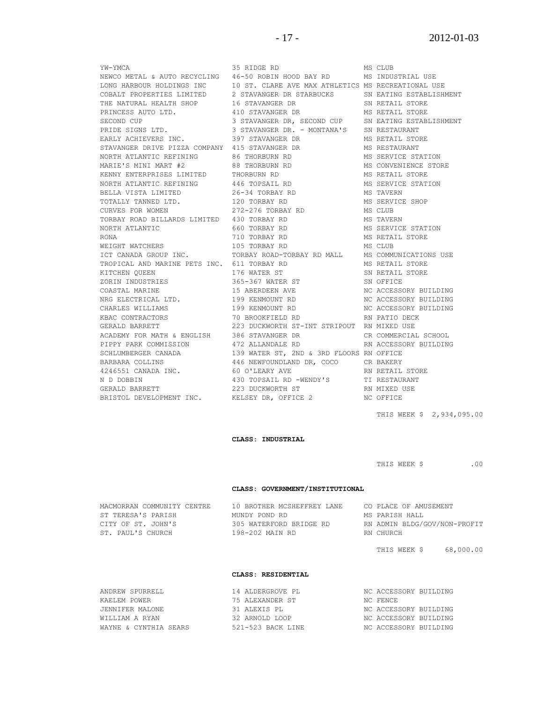STAVANGER DRIVE PIZZA COMPANY 415 STAVANGER DR N D DOBBIN 430 TOPSAIL RD -WENDY'S

YW-YMCA 35 RIDGE RD MS CLUB NEWCO METAL & AUTO RECYCLING 46-50 ROBIN HOOD BAY RD MS INDUSTRIAL USE LONG HARBOUR HOLDINGS INC 10 ST. CLARE AVE MAX ATHLETICS MS RECREATIONAL USE COBALT PROPERTIES LIMITED 2 STAVANGER DR STARBUCKS SN EATING ESTABLISH 2 STAVANGER DR STARBUCKS SN EATING ESTABLISHMENT THE NATURAL HEALTH SHOP 16 STAVANGER DR SN RETAIL STORE PRINCESS AUTO LTD. 410 STAVANGER DR MS RETAIL STORE SECOND CUP 3 STAVANGER DR, SECOND CUP SN EATING ESTABLISHMENT PRIDE SIGNS LTD. 3 STAVANGER DR. - MONTANA'S SN RESTAURANT EARLY ACHIEVERS INC. 397 STAVANGER DR MS RETAIL STORE<br>
STAVANGER DR MS RETAIL STORE<br>
STAVANGER DR MS RESTAURANT 415 STAVANGER DR MS RESTAURANT NORTH ATLANTIC REFINING  $\begin{array}{ccc} 86 & \text{THORBURN} & \text{RD} \end{array}$  MS SERVICE STATION MARIE'S MINI MART #2 88 THORBURN RD MS CONVENIENCE STORE KENNY ENTERPRISES LIMITED THORBURN RD MS RETAIL STORE NORTH ATLANTIC REFINING  $446$  TOPSAIL RD MS SERVICE STATION BELLA VISTA LIMITED 26-34 TORBAY RD MS TAVERN TOTALLY TANNED LTD. 120 TORBAY RD MS SERVICE SHOP CURVES FOR WOMEN 272-276 TORBAY RD MS CLUB TORBAY ROAD BILLARDS LIMITED 430 TORBAY RD MS TAVERN NORTH ATLANTIC 660 TORBAY RD MS SERVICE STATION RONA 710 TORBAY RD MS RETAIL STORE WEIGHT WATCHERS **105 TORBAY RD** MS CLUB ICT CANADA GROUP INC. TORBAY ROAD-TORBAY RD MALL MS COMMUNICATIONS USE TROPICAL AND MARINE PETS INC. 611 TORBAY RD MS RETAIL STORE KITCHEN QUEEN 176 WATER ST SN RETAIL STORE 2007 365-367 WATER ST SN OFFICE SN OFFICE COASTAL MARINE 15 ABERDEEN AVE NC ACCESSORY BUILDING NRG ELECTRICAL LTD. 199 KENMOUNT RD NC ACCESSORY BUILDING CHARLES WILLIAMS 199 KENMOUNT RD NC ACCESSORY BUILDING KBAC CONTRACTORS <br/> 70 BROOKFIELD RD RN PATIO DECK GERALD BARRETT 223 DUCKWORTH ST-INT STRIPOUT RN MIXED USE ACADEMY FOR MATH & ENGLISH 386 STAVANGER DR CR COMMERCIAL SCHOOL PIPPY PARK COMMISSION 472 ALLANDALE RD RN ACCESSORY BUILDING SCHLUMBERGER CANADA 139 WATER ST, 2ND & 3RD FLOORS RN OFFICE BARBARA COLLINS 446 NEWFOUNDLAND DR, COCO CR BAKERY 4246551 CANADA INC. 60 O'LEARY AVE RI RETAIL STORE RI DOBBIN<br>A 30 TOPSAIL RD -WENDY'S TI RESTAURANT<br>A 20 AN METALL RESTAURANT GERALD BARRETT 223 DUCKWORTH ST RN MIXED USE BRISTOL DEVELOPMENT INC. KELSEY DR, OFFICE 2 NC OFFICE

THIS WEEK \$ 2,934,095.00

**CLASS: INDUSTRIAL**

THIS WEEK \$ .00

#### **CLASS: GOVERNMENT/INSTITUTIONAL**

| MACMORRAN COMMUNITY CENTRE | 10 BROTHER MCSHEFFREY LANE | CO PLACE OF AMUSEMENT        |
|----------------------------|----------------------------|------------------------------|
| ST TERESA'S PARISH         | MUNDY POND RD              | MS PARISH HALL               |
| CITY OF ST. JOHN'S         | 305 WATERFORD BRIDGE RD    | RN ADMIN BLDG/GOV/NON-PROFIT |
| ST. PAUL'S CHURCH          | 198-202 MAIN RD            | RN CHURCH                    |
|                            |                            |                              |

THIS WEEK \$ 68,000.00

#### **CLASS: RESIDENTIAL**

| ANDREW SPURRELL       | 14 ALDERGROVE PL  | NC ACCESSORY BUILDING |  |
|-----------------------|-------------------|-----------------------|--|
| KAELEM POWER          | 75 ALEXANDER ST   | NC FENCE              |  |
| JENNIFER MALONE       | 31 ALEXIS PL      | NC ACCESSORY BUILDING |  |
| WILLIAM A RYAN        | 32 ARNOLD LOOP    | NC ACCESSORY BUILDING |  |
| WAYNE & CYNTHIA SEARS | 521-523 BACK LINE | NC ACCESSORY BUILDING |  |
|                       |                   |                       |  |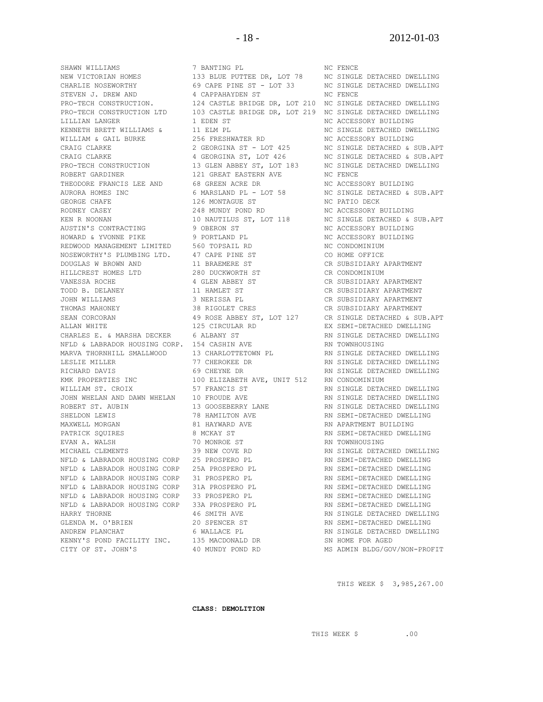NEW VICTORIAN HOMES 133 BLUE PUTTEE DR, LOT 78 NC SINGLE DETACHED DWELLING CHARLIE NOSEWORTHY 69 CAPE PINE ST - LOT 33 NC SINGLE DETACHED DWELLING STEVEN J. DREW AND  $\begin{array}{ccc} 4 & CAPPAHAYDEN & S T \\ \end{array}$  and  $\begin{array}{ccc} 4 & CAPPAHAYDEN & S T \\ \end{array}$ PRO-TECH CONSTRUCTION. 124 CASTLE BRIDGE DR, LOT 210 NC SINGLE DETACHED DWELLING PRO-TECH CONSTRUCTION LTD 103 CASTLE BRIDGE DR, LOT 219 NC SINGLE DETACHED DWELLING LILLIAN LANGER 1 EDEN ST NC ACCESSORY BUILDING KENNETH BRETT WILLIAMS & 11 ELM PL NET NO SINGLE DETACHED DWELLING WILLIAM & GAIL BURKE  $256$  FRESHWATER RD NC ACCESSORY BUILDING CRAIG CLARKE 2 GEORGINA ST - LOT 425 NC SINGLE DETACHED & SUB.APT CRAIG CLARKE 4 GEORGINA ST, LOT 426 NC SINGLE DETACHED & SUB.APT PRO-TECH CONSTRUCTION 13 GLEN ABBEY ST, LOT 183 NC SINGLE DETACHED DWELLING ROBERT GARDINER 121 GREAT EASTERN AVE NC FENCE THEODORE FRANCIS LEE AND 68 GREEN ACRE DR NC ACCESSORY BUILDING AURORA HOMES INC 6 MARSLAND PL - LOT 58 NC SINGLE DETACHED & SUB.APT GEORGE CHAFE 126 MONTAGUE ST NC PATIO DECK RODNEY CASEY 248 MUNDY POND RD NC ACCESSORY BUILDING KEN R NOONAN 10 NAUTILUS ST, LOT 118 NC SINGLE DETACHED & SUB.APT AUSTIN'S CONTRACTING **9 OBERON ST** NC ACCESSORY BUILDING HOWARD & YVONNE PIKE 9 PORTLAND PL 9 NC ACCESSORY BUILDING REDWOOD MANAGEMENT LIMITED 560 TOPSAIL RD NC CONDOMINIUM NOSEWORTHY'S PLUMBING LTD. 47 CAPE PINE ST CO HOME OFFICE DOUGLAS W BROWN AND 11 BRAEMERE ST CR SUBSIDIARY APARTMENT HILLCREST HOMES LTD 280 DUCKWORTH ST CR CONDOMINIUM VANESSA ROCHE 4 GLEN ABBEY ST CR SUBSIDIARY APARTMENT TODD B. DELANEY 11 HAMLET ST CR SUBSIDIARY APARTMENT JOHN WILLIAMS 3 NERISSA PL CR SUBSIDIARY APARTMENT THOMAS MAHONEY 38 RIGOLET CRES CR SUBSIDIARY APARTMENT SEAN CORCORAN 49 ROSE ABBEY ST, LOT 127 CR SINGLE DETACHED & SUB.APT ALLAN WHITE 125 CIRCULAR RD EX SEMI-DETACHED DWELLING CHARLES E. & MARSHA DECKER 6 ALBANY ST **READING A READINGLY ST** RN SINGLE DETACHED DWELLING NFLD & LABRADOR HOUSING CORP. 154 CASHIN AVE **RISP AND AN INTERNATIONAL PROPERTION**<br>MARVA THORNHILL SMALLWOOD 13 CHARLOTTETOWN PL RN SINGLE DETACHED DWELLING<br>PN SINGLE DETACHED DWELLING MARVA THORNHILL SMALLWOOD 13 CHARLOTTETOWN PL LESLIE MILLER 77 CHEROKEE DR RN SINGLE DETACHED DWELLING RICHARD DAVIS 69 CHEYNE DR RN SINGLE DETACHED DWELLING KMK PROPERTIES INC 100 ELIZABETH AVE, UNIT 512 RN CONDOMINIUM WILLIAM ST. CROIX 57 FRANCIS ST RN SINGLE DETACHED DWELLING JOHN WHELAN AND DAWN WHELAN 10 FROUDE AVE **RAWLE READ RINGLE DETACHED DWELLING** ROBERT ST. AUBIN 13 GOOSEBERRY LANE RN SINGLE DETACHED DWELLING SHELDON LEWIS 78 HAMILTON AVE RN SEMI-DETACHED DWELLING MAXWELL MORGAN 61 NASHID AN BERANG AND AN ARAR RIS ARARTMENT BUILDING PATRICK SQUIRES 6 8 MCKAY ST 8 RN SEMI-DETACHED DWELLING EVAN A. WALSH 70 MONROE ST RN TOWNHOUSING MICHAEL CLEMENTS 39 NEW COVE RD RN SINGLE DETACHED DWELLING NFLD & LABRADOR HOUSING CORP 25 PROSPERO PL **RIGHT CONTROLS AN** SEMI-DETACHED DWELLING NFLD & LABRADOR HOUSING CORP 25A PROSPERO PL **RIGHT REMI-DETACHED DWELLING** NFLD & LABRADOR HOUSING CORP 31 PROSPERO PL **RIGHT CONTROLS AN** SEMI-DETACHED DWELLING NFLD & LABRADOR HOUSING CORP 31A PROSPERO PL **RIGHT REMI-DETACHED DWELLING** NFLD & LABRADOR HOUSING CORP 33 PROSPERO PL **RIGHT REMI-DETACHED DWELLING** NFLD & LABRADOR HOUSING CORP 33A PROSPERO PL **REMI-DETACHED DWELLING** HARRY THORNE 46 SMITH AVE RN SINGLE DETACHED DWELLING GLENDA M. O'BRIEN 20 SPENCER ST RN SEMI-DETACHED DWELLING ANDREW PLANCHAT 6 WALLACE PL RN SINGLE DETACHED DWELLING KENNY'S POND FACILITY INC. 135 MACDONALD DR SN HOME FOR AGED

SHAWN WILLIAMS 7 BANTING PL 7 NO FENCE CITY OF ST. JOHN'S 40 MUNDY POND RD MS ADMIN BLDG/GOV/NON-PROFIT

THIS WEEK \$ 3,985,267.00

**CLASS: DEMOLITION**

THIS WEEK \$ .00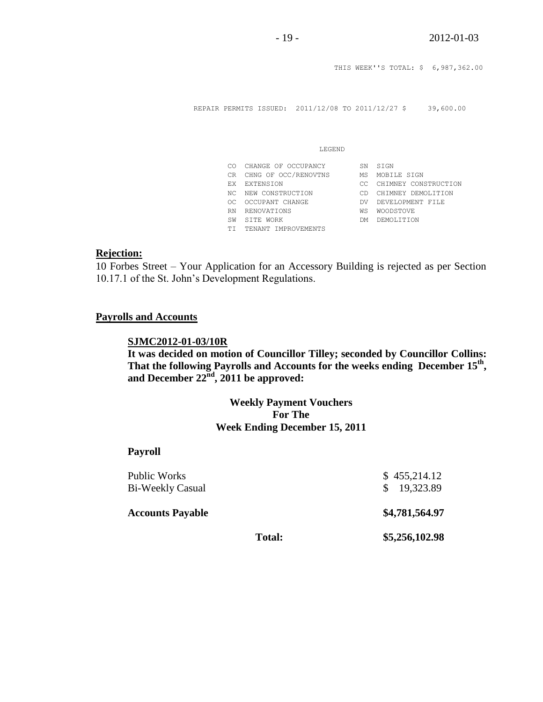THIS WEEK''S TOTAL: \$ 6,987,362.00 REPAIR PERMITS ISSUED: 2011/12/08 TO 2011/12/27 \$ 39,600.00 LEGEND CO CHANGE OF OCCUPANCY SN SIGN CR CHNG OF OCC/RENOVTNS MS MOBILE SIGN EX EXTENSION CC CHIMNEY CONSTRUCTION NC NEW CONSTRUCTION CD CHIMNEY DEMOLITION OC OCCUPANT CHANGE DV DEVELOPMENT FILE RN RENOVATIONS WS WOODSTOVE SW SITE WORK DM DEMOLITION

# TI TENANT IMPROVEMENTS

### **Rejection:**

10 Forbes Street – Your Application for an Accessory Building is rejected as per Section 10.17.1 of the St. John's Development Regulations.

### **Payrolls and Accounts**

## **SJMC2012-01-03/10R**

**It was decided on motion of Councillor Tilley; seconded by Councillor Collins: That the following Payrolls and Accounts for the weeks ending December 15th , and December 22nd , 2011 be approved:** 

## **Weekly Payment Vouchers For The Week Ending December 15, 2011**

### **Payroll**

| Public Works<br>Bi-Weekly Casual |        | \$455,214.12<br>\$19,323.89 |
|----------------------------------|--------|-----------------------------|
| <b>Accounts Payable</b>          |        | \$4,781,564.97              |
|                                  | Total: | \$5,256,102.98              |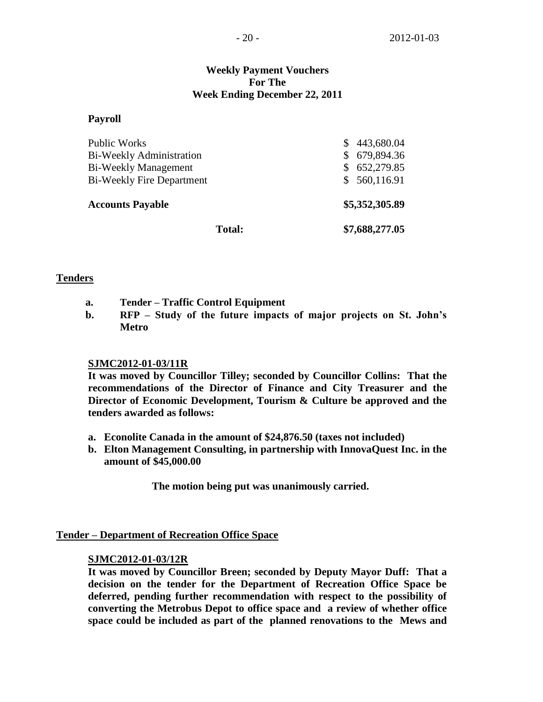# **Weekly Payment Vouchers For The Week Ending December 22, 2011**

### **Payroll**

| <b>Total:</b>                    | \$7,688,277.05   |
|----------------------------------|------------------|
| <b>Accounts Payable</b>          | \$5,352,305.89   |
| <b>Bi-Weekly Fire Department</b> | \$560,116.91     |
| Bi-Weekly Management             | 652,279.85<br>S. |
| Bi-Weekly Administration         | 679,894.36<br>\$ |
| <b>Public Works</b>              | 443,680.04<br>S  |

### **Tenders**

- **a. Tender – Traffic Control Equipment**
- **b. RFP – Study of the future impacts of major projects on St. John's Metro**

### **SJMC2012-01-03/11R**

**It was moved by Councillor Tilley; seconded by Councillor Collins: That the recommendations of the Director of Finance and City Treasurer and the Director of Economic Development, Tourism & Culture be approved and the tenders awarded as follows:**

- **a. Econolite Canada in the amount of \$24,876.50 (taxes not included)**
- **b. Elton Management Consulting, in partnership with InnovaQuest Inc. in the amount of \$45,000.00**

**The motion being put was unanimously carried.**

### **Tender – Department of Recreation Office Space**

### **SJMC2012-01-03/12R**

**It was moved by Councillor Breen; seconded by Deputy Mayor Duff: That a decision on the tender for the Department of Recreation Office Space be deferred, pending further recommendation with respect to the possibility of converting the Metrobus Depot to office space and a review of whether office space could be included as part of the planned renovations to the Mews and**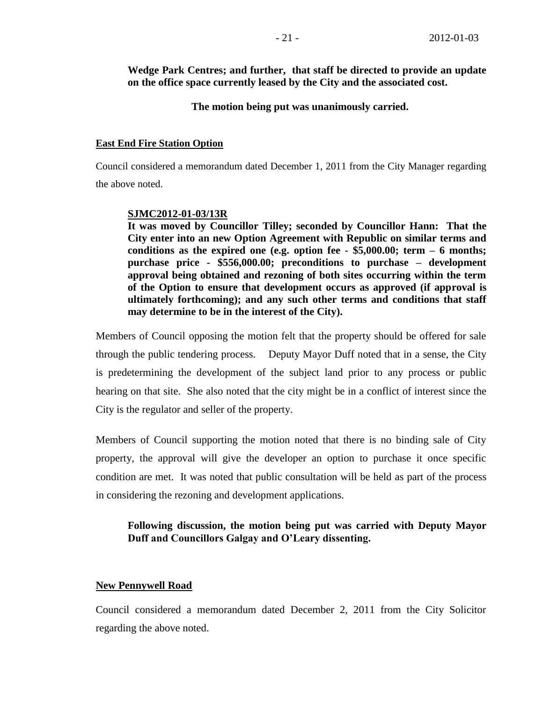**Wedge Park Centres; and further, that staff be directed to provide an update on the office space currently leased by the City and the associated cost.**

**The motion being put was unanimously carried.**

### **East End Fire Station Option**

Council considered a memorandum dated December 1, 2011 from the City Manager regarding the above noted.

### **SJMC2012-01-03/13R**

**It was moved by Councillor Tilley; seconded by Councillor Hann: That the City enter into an new Option Agreement with Republic on similar terms and conditions as the expired one (e.g. option fee - \$5,000.00; term – 6 months; purchase price - \$556,000.00; preconditions to purchase – development approval being obtained and rezoning of both sites occurring within the term of the Option to ensure that development occurs as approved (if approval is ultimately forthcoming); and any such other terms and conditions that staff may determine to be in the interest of the City).**

Members of Council opposing the motion felt that the property should be offered for sale through the public tendering process. Deputy Mayor Duff noted that in a sense, the City is predetermining the development of the subject land prior to any process or public hearing on that site. She also noted that the city might be in a conflict of interest since the City is the regulator and seller of the property.

Members of Council supporting the motion noted that there is no binding sale of City property, the approval will give the developer an option to purchase it once specific condition are met. It was noted that public consultation will be held as part of the process in considering the rezoning and development applications.

# **Following discussion, the motion being put was carried with Deputy Mayor Duff and Councillors Galgay and O'Leary dissenting.**

### **New Pennywell Road**

Council considered a memorandum dated December 2, 2011 from the City Solicitor regarding the above noted.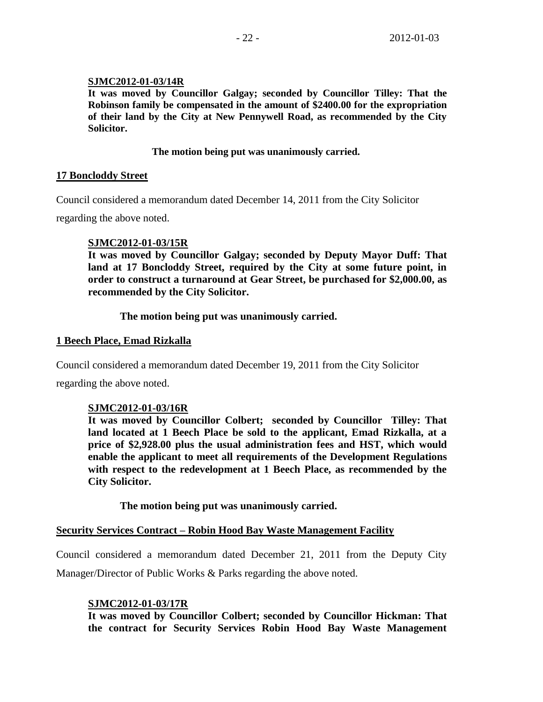## **SJMC2012-01-03/14R**

**It was moved by Councillor Galgay; seconded by Councillor Tilley: That the Robinson family be compensated in the amount of \$2400.00 for the expropriation of their land by the City at New Pennywell Road, as recommended by the City Solicitor.**

### **The motion being put was unanimously carried.**

### **17 Boncloddy Street**

Council considered a memorandum dated December 14, 2011 from the City Solicitor

regarding the above noted.

## **SJMC2012-01-03/15R**

**It was moved by Councillor Galgay; seconded by Deputy Mayor Duff: That land at 17 Boncloddy Street, required by the City at some future point, in order to construct a turnaround at Gear Street, be purchased for \$2,000.00, as recommended by the City Solicitor.**

**The motion being put was unanimously carried.** 

## **1 Beech Place, Emad Rizkalla**

Council considered a memorandum dated December 19, 2011 from the City Solicitor

regarding the above noted.

# **SJMC2012-01-03/16R**

**It was moved by Councillor Colbert; seconded by Councillor Tilley: That land located at 1 Beech Place be sold to the applicant, Emad Rizkalla, at a price of \$2,928.00 plus the usual administration fees and HST, which would enable the applicant to meet all requirements of the Development Regulations with respect to the redevelopment at 1 Beech Place, as recommended by the City Solicitor.**

**The motion being put was unanimously carried.**

### **Security Services Contract – Robin Hood Bay Waste Management Facility**

Council considered a memorandum dated December 21, 2011 from the Deputy City Manager/Director of Public Works & Parks regarding the above noted.

# **SJMC2012-01-03/17R**

**It was moved by Councillor Colbert; seconded by Councillor Hickman: That the contract for Security Services Robin Hood Bay Waste Management**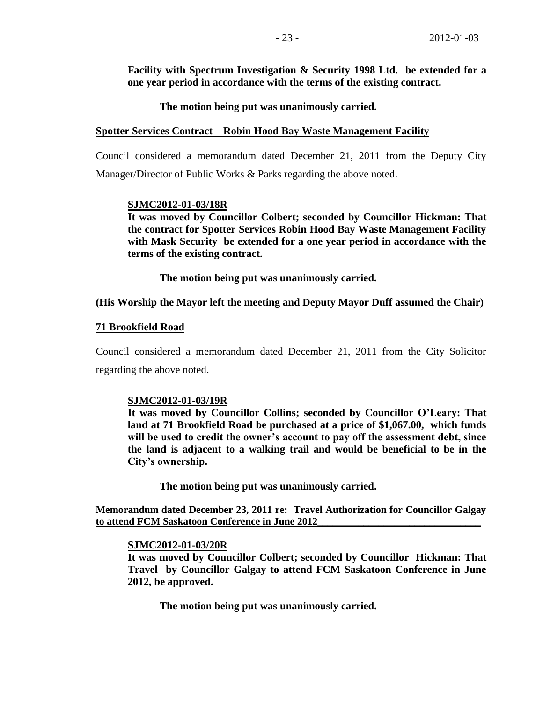**Facility with Spectrum Investigation & Security 1998 Ltd. be extended for a one year period in accordance with the terms of the existing contract.**

**The motion being put was unanimously carried.** 

## **Spotter Services Contract – Robin Hood Bay Waste Management Facility**

Council considered a memorandum dated December 21, 2011 from the Deputy City Manager/Director of Public Works & Parks regarding the above noted.

## **SJMC2012-01-03/18R**

**It was moved by Councillor Colbert; seconded by Councillor Hickman: That the contract for Spotter Services Robin Hood Bay Waste Management Facility with Mask Security be extended for a one year period in accordance with the terms of the existing contract.**

**The motion being put was unanimously carried.** 

# **(His Worship the Mayor left the meeting and Deputy Mayor Duff assumed the Chair)**

## **71 Brookfield Road**

Council considered a memorandum dated December 21, 2011 from the City Solicitor regarding the above noted.

### **SJMC2012-01-03/19R**

**It was moved by Councillor Collins; seconded by Councillor O'Leary: That land at 71 Brookfield Road be purchased at a price of \$1,067.00, which funds will be used to credit the owner's account to pay off the assessment debt, since the land is adjacent to a walking trail and would be beneficial to be in the City's ownership.**

**The motion being put was unanimously carried.**

**Memorandum dated December 23, 2011 re: Travel Authorization for Councillor Galgay to attend FCM Saskatoon Conference in June 2012\_\_\_\_\_\_\_\_\_\_\_\_\_\_\_\_\_\_\_\_\_\_\_\_\_\_\_\_\_\_\_\_**

### **SJMC2012-01-03/20R**

**It was moved by Councillor Colbert; seconded by Councillor Hickman: That Travel by Councillor Galgay to attend FCM Saskatoon Conference in June 2012, be approved.**

**The motion being put was unanimously carried.**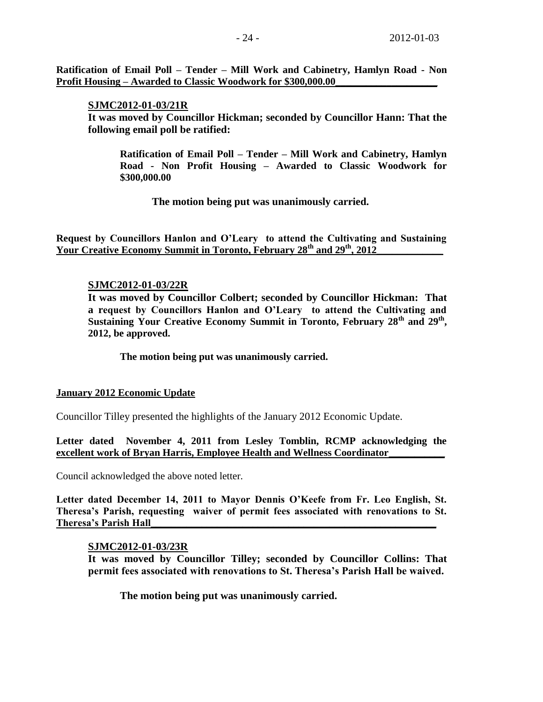**Ratification of Email Poll – Tender – Mill Work and Cabinetry, Hamlyn Road - Non Profit Housing – Awarded to Classic Woodwork for \$300,000.00** 

**SJMC2012-01-03/21R It was moved by Councillor Hickman; seconded by Councillor Hann: That the following email poll be ratified:**

**Ratification of Email Poll – Tender – Mill Work and Cabinetry, Hamlyn Road - Non Profit Housing – Awarded to Classic Woodwork for \$300,000.00**

**The motion being put was unanimously carried.**

**Request by Councillors Hanlon and O'Leary to attend the Cultivating and Sustaining**  Your Creative Economy Summit in Toronto, February 28<sup>th</sup> and 29<sup>th</sup>, 2012

### **SJMC2012-01-03/22R**

**It was moved by Councillor Colbert; seconded by Councillor Hickman: That a request by Councillors Hanlon and O'Leary to attend the Cultivating and Sustaining Your Creative Economy Summit in Toronto, February 28th and 29th , 2012, be approved.**

### **The motion being put was unanimously carried.**

### **January 2012 Economic Update**

Councillor Tilley presented the highlights of the January 2012 Economic Update.

**Letter dated November 4, 2011 from Lesley Tomblin, RCMP acknowledging the excellent work of Bryan Harris, Employee Health and Wellness Coordinator\_\_\_\_\_\_\_\_\_\_\_**

Council acknowledged the above noted letter.

**Letter dated December 14, 2011 to Mayor Dennis O'Keefe from Fr. Leo English, St. Theresa's Parish, requesting waiver of permit fees associated with renovations to St. Theresa's Parish Hall\_\_\_\_\_\_\_\_\_\_\_\_\_\_\_\_\_\_\_\_\_\_\_\_\_\_\_\_\_\_\_\_\_\_\_\_\_\_\_\_\_\_\_\_\_\_\_\_\_\_\_\_\_\_\_\_**

### **SJMC2012-01-03/23R**

**It was moved by Councillor Tilley; seconded by Councillor Collins: That permit fees associated with renovations to St. Theresa's Parish Hall be waived.**

**The motion being put was unanimously carried.**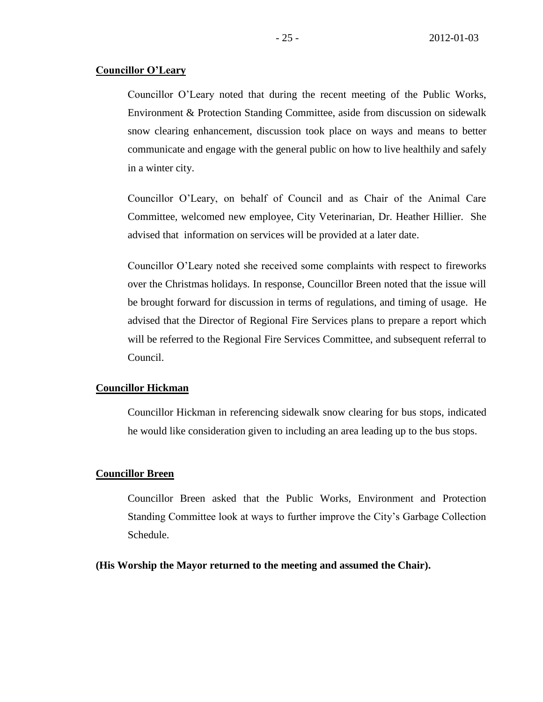### **Councillor O'Leary**

Councillor O'Leary noted that during the recent meeting of the Public Works, Environment & Protection Standing Committee, aside from discussion on sidewalk snow clearing enhancement, discussion took place on ways and means to better communicate and engage with the general public on how to live healthily and safely in a winter city.

Councillor O'Leary, on behalf of Council and as Chair of the Animal Care Committee, welcomed new employee, City Veterinarian, Dr. Heather Hillier. She advised that information on services will be provided at a later date.

Councillor O'Leary noted she received some complaints with respect to fireworks over the Christmas holidays. In response, Councillor Breen noted that the issue will be brought forward for discussion in terms of regulations, and timing of usage. He advised that the Director of Regional Fire Services plans to prepare a report which will be referred to the Regional Fire Services Committee, and subsequent referral to Council.

### **Councillor Hickman**

Councillor Hickman in referencing sidewalk snow clearing for bus stops, indicated he would like consideration given to including an area leading up to the bus stops.

# **Councillor Breen**

Councillor Breen asked that the Public Works, Environment and Protection Standing Committee look at ways to further improve the City's Garbage Collection Schedule.

**(His Worship the Mayor returned to the meeting and assumed the Chair).**